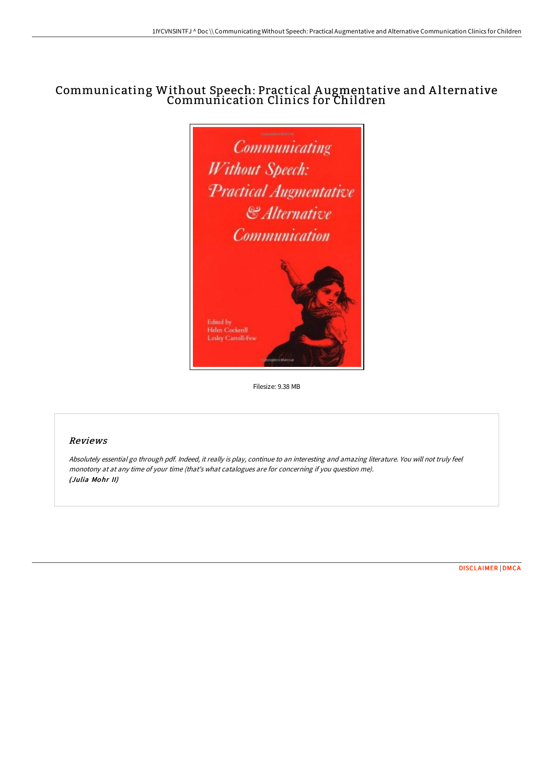# Communicating Without Speech: Practical A ugmentative and A lternative Communication Clinics for Children



Filesize: 9.38 MB

# Reviews

Absolutely essential go through pdf. Indeed, it really is play, continue to an interesting and amazing literature. You will not truly feel monotony at at any time of your time (that's what catalogues are for concerning if you question me). (Julia Mohr II)

[DISCLAIMER](http://bookera.tech/disclaimer.html) | [DMCA](http://bookera.tech/dmca.html)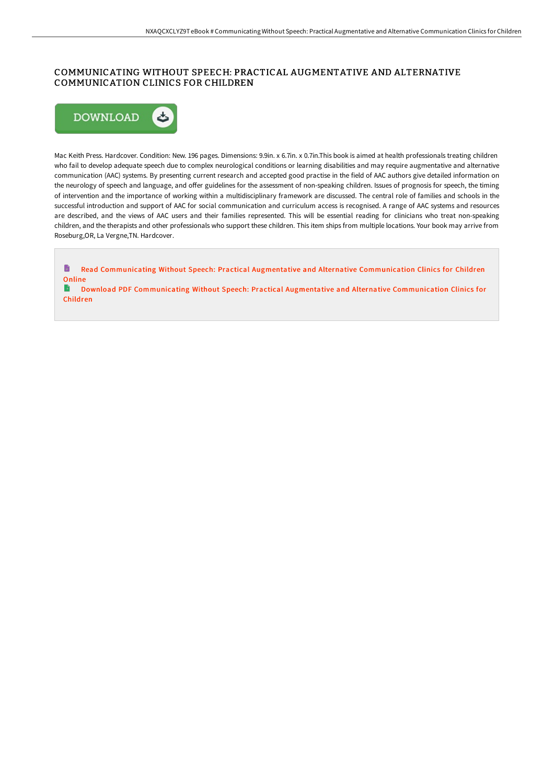# COMMUNICATING WITHOUT SPEECH: PRACTICAL AUGMENTATIVE AND ALTERNATIVE COMMUNICATION CLINICS FOR CHILDREN



Mac Keith Press. Hardcover. Condition: New. 196 pages. Dimensions: 9.9in. x 6.7in. x 0.7in.This book is aimed at health professionals treating children who fail to develop adequate speech due to complex neurological conditions or learning disabilities and may require augmentative and alternative communication (AAC) systems. By presenting current research and accepted good practise in the field of AAC authors give detailed information on the neurology of speech and language, and offer guidelines for the assessment of non-speaking children. Issues of prognosis for speech, the timing of intervention and the importance of working within a multidisciplinary framework are discussed. The central role of families and schools in the successful introduction and support of AAC for social communication and curriculum access is recognised. A range of AAC systems and resources are described, and the views of AAC users and their families represented. This will be essential reading for clinicians who treat non-speaking children, and the therapists and other professionals who support these children. This item ships from multiple locations. Your book may arrive from Roseburg,OR, La Vergne,TN. Hardcover.

B Read Communicating Without Speech: Practical Augmentative and Alternative [Communication](http://bookera.tech/communicating-without-speech-practical-augmentat.html) Clinics for Children Online  $\blacktriangleright$ Download PDF Communicating Without Speech: Practical Augmentative and Alternative [Communication](http://bookera.tech/communicating-without-speech-practical-augmentat.html) Clinics for Children